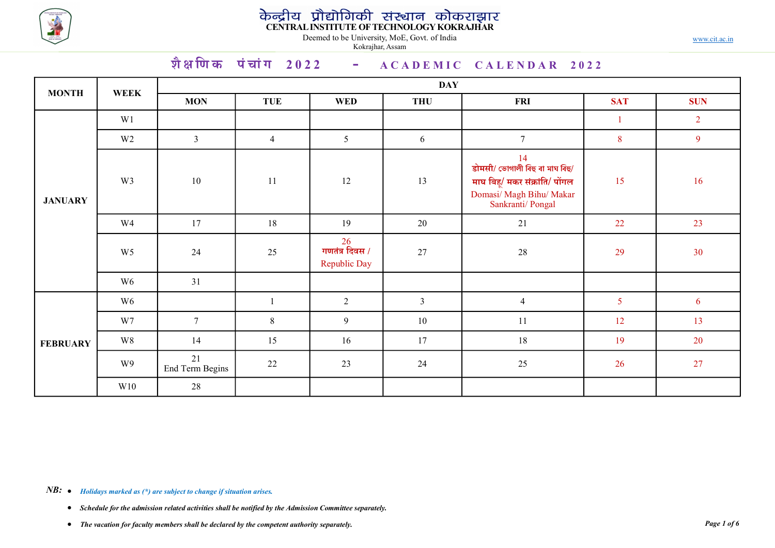

|                 |                                  |                         |                      | Kokrajhar, Assam                     | केन्द्रीय प्रौद्योगिकी संस्थान कोकराझार<br>CENTRAL INSTITUTE OF TECHNOLOGY KOKRAJHAR<br>Deemed to be University, MoE, Govt. of India |                                                                                                                       |                      | www.cit.ac.in  |  |  |  |  |
|-----------------|----------------------------------|-------------------------|----------------------|--------------------------------------|--------------------------------------------------------------------------------------------------------------------------------------|-----------------------------------------------------------------------------------------------------------------------|----------------------|----------------|--|--|--|--|
|                 |                                  |                         | शैक्षणिक पंचांग 2022 |                                      |                                                                                                                                      | - ACADEMIC CALENDAR 2022                                                                                              |                      |                |  |  |  |  |
| <b>MONTH</b>    | <b>WEEK</b>                      | <b>DAY</b>              |                      |                                      |                                                                                                                                      |                                                                                                                       |                      |                |  |  |  |  |
|                 | W1                               | <b>MON</b>              | <b>TUE</b>           | <b>WED</b>                           | <b>THU</b>                                                                                                                           | <b>FRI</b>                                                                                                            | <b>SAT</b>           | <b>SUN</b>     |  |  |  |  |
|                 |                                  |                         |                      |                                      |                                                                                                                                      | $7\overline{ }$                                                                                                       | $\mathbf{1}$         | $\overline{2}$ |  |  |  |  |
| <b>JANUARY</b>  | W <sub>2</sub><br>W <sub>3</sub> | $\mathbf{3}$<br>10      | $\overline{4}$<br>11 | $5\overline{)}$<br>12                | 6<br>13                                                                                                                              | 14<br>डोमसी/ ভোগালী বিহু বা মাঘ বিহু/<br>माघ बिहू/ मकर संक्रांति/ पोंगल<br>Domasi/Magh Bihu/Makar<br>Sankranti/Pongal | 8 <sup>8</sup><br>15 | 9<br>16        |  |  |  |  |
|                 | W4                               | 17                      | 18                   | 19                                   | 20                                                                                                                                   | 21                                                                                                                    | 22                   | 23             |  |  |  |  |
|                 | W <sub>5</sub>                   | 24                      | 25                   | 26<br>गणतंत्र दिवस /<br>Republic Day | 27                                                                                                                                   | 28                                                                                                                    | 29                   | 30             |  |  |  |  |
|                 | W <sub>6</sub>                   | 31                      |                      |                                      |                                                                                                                                      |                                                                                                                       |                      |                |  |  |  |  |
|                 | W <sub>6</sub>                   |                         | $\mathbf{1}$         | $\overline{2}$                       | 3 <sup>7</sup>                                                                                                                       | $\overline{4}$                                                                                                        | 5 <sup>5</sup>       | 6 <sup>1</sup> |  |  |  |  |
|                 | W7                               | $7\overline{ }$         | $8\phantom{.}$       | 9 <sup>°</sup>                       | 10                                                                                                                                   | 11                                                                                                                    | 12                   | 13             |  |  |  |  |
| <b>FEBRUARY</b> | W8                               | 14                      | 15                   | 16                                   | 17                                                                                                                                   | $18\,$                                                                                                                | 19                   | 20             |  |  |  |  |
|                 | W9                               | $21$<br>End Term Begins | 22                   | 23                                   | 24                                                                                                                                   | 25                                                                                                                    | 26                   | 27             |  |  |  |  |
|                 | W10                              | 28                      |                      |                                      |                                                                                                                                      |                                                                                                                       |                      |                |  |  |  |  |

- Schedule for the admission related activities shall be notified by the Admission Committee separately.
- The vacation for faculty members shall be declared by the competent authority separately.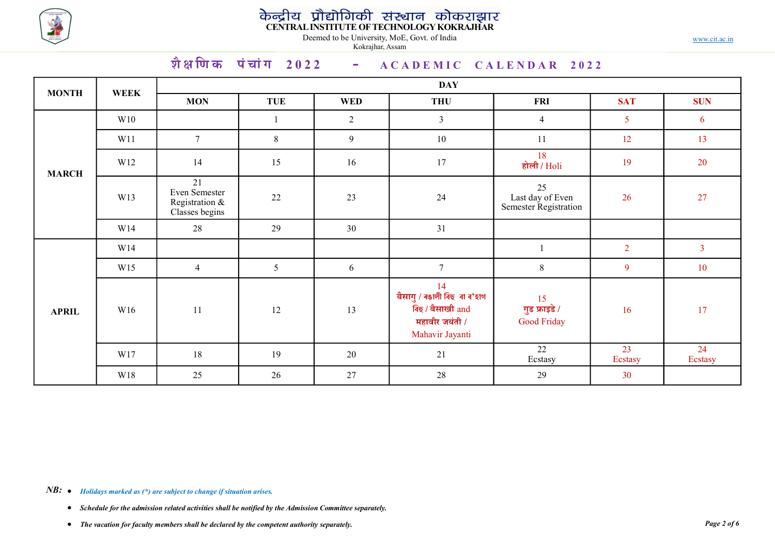

# केन्द्रीय प्रौद्योगिकी संस्थान कोकराझार<br>CENTRALINSTITUTE OF TECHNOLOGY KOKRAJHAR

|              |             |                                                         |                                                 | Kokrajhar, Assam | केन्द्रीय प्रौद्योगिकी संस्थान कोकराझार<br>CENTRALINSTITUTE.OFTECHNOLOGY.KOKRAJHAR<br>Deemed to be University, MoE, Govt. of India |                                                 |                | www.cit.ac.in  |  |  |  |  |  |
|--------------|-------------|---------------------------------------------------------|-------------------------------------------------|------------------|------------------------------------------------------------------------------------------------------------------------------------|-------------------------------------------------|----------------|----------------|--|--|--|--|--|
|              |             |                                                         | शैक्षणिक पंचांग 2022 - $ACADEMIC CALENDAR 2022$ |                  |                                                                                                                                    |                                                 |                |                |  |  |  |  |  |
| <b>MONTH</b> | <b>WEEK</b> | <b>MON</b>                                              | <b>TUE</b>                                      | <b>WED</b>       | <b>DAY</b><br><b>THU</b>                                                                                                           | <b>FRI</b>                                      | <b>SAT</b>     | <b>SUN</b>     |  |  |  |  |  |
|              | W10         |                                                         | $\overline{1}$                                  | 2                | $\mathfrak{Z}$                                                                                                                     | $\overline{4}$                                  | 5 <sup>5</sup> | 6              |  |  |  |  |  |
|              | W11         | $7\overline{ }$                                         | 8                                               | 9                | 10                                                                                                                                 | 11                                              | 12             | 13             |  |  |  |  |  |
| <b>MARCH</b> | W12         | 14                                                      | 15                                              | 16               | 17                                                                                                                                 | 18<br>होली / $\overline{\text{Holi}}$           | 19             | 20             |  |  |  |  |  |
|              | W13         | 21<br>Even Semester<br>Registration &<br>Classes begins | 22                                              | 23               | 24                                                                                                                                 | 25<br>Last day of Even<br>Semester Registration | 26             | 27             |  |  |  |  |  |
|              | W14         | 28                                                      | 29                                              | 30               | 31                                                                                                                                 |                                                 |                |                |  |  |  |  |  |
|              | W14         |                                                         |                                                 |                  |                                                                                                                                    |                                                 | $\overline{2}$ | $\overline{3}$ |  |  |  |  |  |
|              | W15         | $\overline{4}$                                          | $5\overline{)}$                                 | 6                | $7\overline{ }$                                                                                                                    | $8\phantom{.}$                                  | $\overline{9}$ | 10             |  |  |  |  |  |
| <b>APRIL</b> | W16         | 11                                                      | $12\,$                                          | $13\,$           | 14<br><mark>बैसागु / ৰঙালী বি</mark> হু  বা ব'হাগ<br>बिछ / बैसाखी and<br>महावीर जयंती /<br>Mahavir Jayanti                         | $\frac{15}{3}$ गुड फ्राइडे /<br>Good Friday     | 16             | 17             |  |  |  |  |  |
|              | W17         | 18                                                      | 19                                              | 20               | 21                                                                                                                                 | 22<br>Ecstasy                                   | 23<br>Ecstasy  | 24<br>Ecstasy  |  |  |  |  |  |
|              | W18         | 25                                                      | 26                                              | 27               | 28                                                                                                                                 | 29                                              | 30             |                |  |  |  |  |  |

**NB:**  $\bullet$  Holidays marked as (\*) are subject to change if situation arises.

• Schedule for the admission related activities shall be notified by the Admission Committee separately.

• The vacation for faculty members shall be declared by the competent authority separately.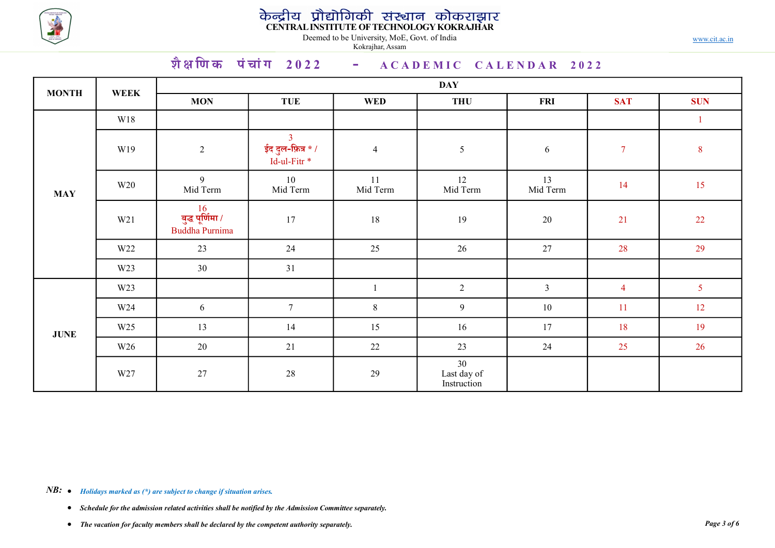

# केन्द्रीय प्रौद्योगिकी संस्थान कोकराझार<br>CENTRALINSTITUTE OF TECHNOLOGY KOKRAJHAR

|              |                 |                                                        |                                                          | Deemed to be University, MoE, Govt. of India<br>Kokrajhar, Assam | केन्द्रीय प्रौद्योगिकी संस्थान कोकराझार<br>CENTRAL INSTITUTE OF TECHNOLOGY KOKRAJHAR |                |                | www.cit.ac.in  |
|--------------|-----------------|--------------------------------------------------------|----------------------------------------------------------|------------------------------------------------------------------|--------------------------------------------------------------------------------------|----------------|----------------|----------------|
|              |                 |                                                        |                                                          |                                                                  | शैक्षणिक पंचांग 2022 - $ACADEMIC$ CALENDAR 2022                                      |                |                |                |
| <b>MONTH</b> | <b>WEEK</b>     | <b>MON</b>                                             | <b>TUE</b>                                               | <b>WED</b>                                                       | <b>DAY</b><br><b>THU</b>                                                             | <b>FRI</b>     | <b>SAT</b>     | <b>SUN</b>     |
|              | W18             |                                                        |                                                          |                                                                  |                                                                                      |                |                | $\overline{1}$ |
|              | W19             | $\overline{2}$                                         | 3 <sup>7</sup><br>ईद दुल-फ़ित्र * /<br>$Id$ -ul-Fitr $*$ | $\overline{4}$                                                   | $5\overline{)}$                                                                      | 6              | $\overline{7}$ | 8              |
| <b>MAY</b>   | W <sub>20</sub> | 9<br>Mid Term                                          | 10<br>Mid Term                                           | 11<br>Mid Term                                                   | 12<br>Mid Term                                                                       | 13<br>Mid Term | 14             | 15             |
|              | W21             | $\frac{16}{$ बुद्ध पूर्णिमा /<br><b>Buddha Purnima</b> | 17                                                       | 18                                                               | 19                                                                                   | 20             | 21             | 22             |
|              | W <sub>22</sub> | 23                                                     | 24                                                       | 25                                                               | 26                                                                                   | 27             | 28             | 29             |
|              | W23             | 30                                                     | 31                                                       |                                                                  |                                                                                      |                |                |                |
|              | W23             |                                                        |                                                          | $\mathbf{1}$                                                     | $\overline{2}$                                                                       | $\overline{3}$ | $\overline{4}$ | 5 <sup>5</sup> |
|              | W24             | 6                                                      | $7\overline{ }$                                          | $8\phantom{.}$                                                   | 9                                                                                    | $10\,$         | 11             | 12             |
| <b>JUNE</b>  | W <sub>25</sub> | 13                                                     | 14                                                       | 15                                                               | 16                                                                                   | 17             | 18             | 19             |
|              | W26             | 20                                                     | 21                                                       | 22                                                               | 23                                                                                   | 24             | 25             | 26             |
|              | W27             | 27                                                     | 28                                                       | 29                                                               | 30<br>Last day of<br>Instruction                                                     |                |                |                |

- Schedule for the admission related activities shall be notified by the Admission Committee separately.
- The vacation for faculty members shall be declared by the competent authority separately.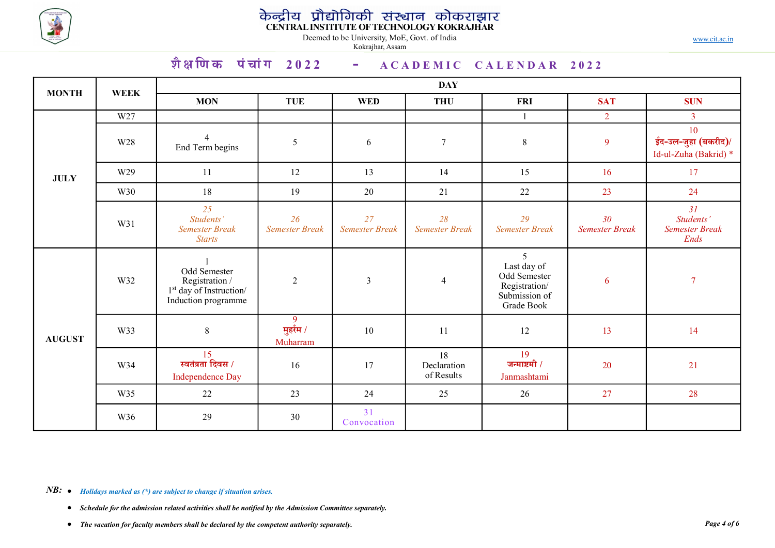

# केन्द्रीय प्रौद्योगिकी संस्थान कोकराझार<br>CENTRALINSTITUTE OF TECHNOLOGY KOKRAJHAR

|               |                 |                                                                                                                |                                         | Deemed to be University, MoE, Govt. of India<br>Kokrajhar, Assam | केन्द्रीय प्रौद्योगिकी संस्थान कोकराझार<br>CENTRAL INSTITUTE OF TECHNOLOGY KOKRAJHAR |                                                                                  |                                          | www.cit.ac.in                                      |  |  |  |  |  |
|---------------|-----------------|----------------------------------------------------------------------------------------------------------------|-----------------------------------------|------------------------------------------------------------------|--------------------------------------------------------------------------------------|----------------------------------------------------------------------------------|------------------------------------------|----------------------------------------------------|--|--|--|--|--|
|               |                 | शैक्षणिक पंचांग 2022 - $ACADEMIC$ CALENDAR 2022                                                                |                                         |                                                                  |                                                                                      |                                                                                  |                                          |                                                    |  |  |  |  |  |
|               |                 | <b>DAY</b>                                                                                                     |                                         |                                                                  |                                                                                      |                                                                                  |                                          |                                                    |  |  |  |  |  |
| <b>MONTH</b>  | <b>WEEK</b>     | <b>MON</b>                                                                                                     | <b>TUE</b>                              | <b>WED</b>                                                       | <b>THU</b>                                                                           | <b>FRI</b>                                                                       | <b>SAT</b>                               | <b>SUN</b>                                         |  |  |  |  |  |
|               | W <sub>27</sub> |                                                                                                                |                                         |                                                                  |                                                                                      | $\mathbf{1}$                                                                     | $\overline{2}$                           | $\overline{3}$                                     |  |  |  |  |  |
|               | W28             | End Term begins                                                                                                | $5\overline{)}$                         | 6                                                                | $\overline{7}$                                                                       | 8                                                                                | 9                                        | 10<br>ईद-उल-जुहा (बकरीद)/<br>Id-ul-Zuha (Bakrid) * |  |  |  |  |  |
| <b>JULY</b>   | W29             | <sup>11</sup>                                                                                                  | 12                                      | 13                                                               | 14                                                                                   | 15                                                                               | 16                                       | 17                                                 |  |  |  |  |  |
|               | W30             | 18                                                                                                             | 19                                      | 20                                                               | 21                                                                                   | 22                                                                               | 23                                       | 24                                                 |  |  |  |  |  |
|               | W31             | 25<br>Students'<br><b>Semester Break</b><br><b>Starts</b>                                                      | 26<br><b>Semester Break</b>             | 27<br><b>Semester Break</b>                                      | 28<br><b>Semester Break</b>                                                          | 29<br><b>Semester Break</b>                                                      | 30 <sup>°</sup><br><b>Semester Break</b> | 31<br>Students'<br><b>Semester Break</b><br>Ends   |  |  |  |  |  |
|               | W32             | $\overline{1}$<br>Odd Semester<br>Registration /<br>1 <sup>st</sup> day of Instruction/<br>Induction programme | $\overline{2}$                          | $\mathfrak{Z}$                                                   | $\overline{4}$                                                                       | 5<br>Last day of<br>Odd Semester<br>Registration/<br>Submission of<br>Grade Book | $6\overline{6}$                          | $\overline{7}$                                     |  |  |  |  |  |
| <b>AUGUST</b> | W33             | $8\,$                                                                                                          | 9 <sup>°</sup><br>मुर्हरम /<br>Muharram | $10\,$                                                           | $11\,$                                                                               | 12                                                                               | 13                                       | 14                                                 |  |  |  |  |  |
|               | W34             | $\frac{15}{5}$ स्वतंत्रता दिवस /<br>Independence Day                                                           | 16                                      | 17                                                               | 18<br>Declaration<br>of Results                                                      | 19<br>जन्माष्टमी $/$<br>Janmashtami                                              | 20                                       | 21                                                 |  |  |  |  |  |
|               | W35             | 22                                                                                                             | 23                                      | 24                                                               | 25                                                                                   | 26                                                                               | 27                                       | 28                                                 |  |  |  |  |  |
|               | W36             | 29                                                                                                             | 30                                      | 31<br>Convocation                                                |                                                                                      |                                                                                  |                                          |                                                    |  |  |  |  |  |

- Schedule for the admission related activities shall be notified by the Admission Committee separately.
- The vacation for faculty members shall be declared by the competent authority separately.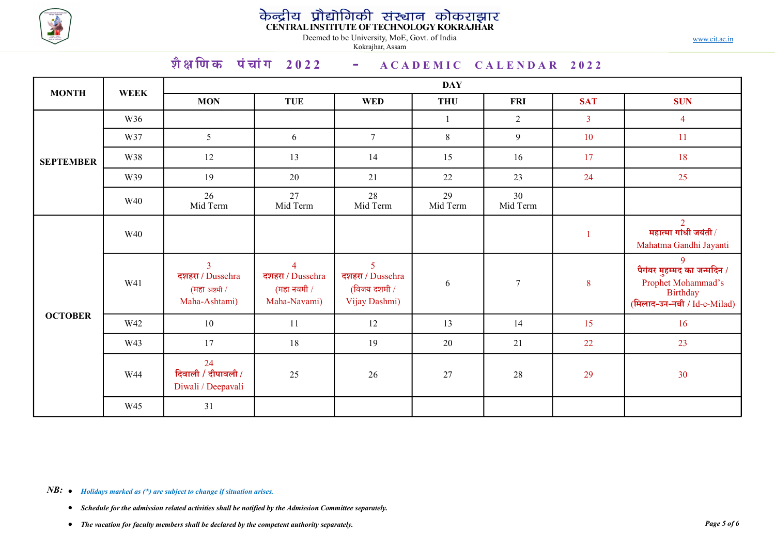

|                  |             | शैक्षणिक पंचांग 2022 - $ACADEMIC$ CALENDAR 2022                      |                                                                   | केन्द्रीय प्रौद्योगिकी संस्थान कोकराझार<br>CENTRAL INSTITUTE OF TECHNOLOGY KOKRAJHAR<br>Deemed to be University, MoE, Govt. of India<br>Kokrajhar, Assam |                |                |                | www.cit.ac.in                                                                                                     |
|------------------|-------------|----------------------------------------------------------------------|-------------------------------------------------------------------|----------------------------------------------------------------------------------------------------------------------------------------------------------|----------------|----------------|----------------|-------------------------------------------------------------------------------------------------------------------|
|                  |             |                                                                      |                                                                   |                                                                                                                                                          | <b>DAY</b>     |                |                |                                                                                                                   |
| <b>MONTH</b>     | <b>WEEK</b> | <b>MON</b>                                                           | <b>TUE</b>                                                        | <b>WED</b>                                                                                                                                               | <b>THU</b>     | <b>FRI</b>     | <b>SAT</b>     | <b>SUN</b>                                                                                                        |
|                  | W36         |                                                                      |                                                                   |                                                                                                                                                          |                | $\overline{2}$ | $\overline{3}$ | $\overline{4}$                                                                                                    |
|                  | W37         | 5 <sup>5</sup>                                                       | 6                                                                 | $7\overline{ }$                                                                                                                                          | 8              | 9              | 10             | 11                                                                                                                |
| <b>SEPTEMBER</b> | W38         | 12                                                                   | 13                                                                | 14                                                                                                                                                       | 15             | 16             | 17             | 18                                                                                                                |
|                  | W39         | 19                                                                   | 20                                                                | 21                                                                                                                                                       | 22             | 23             | 24             | 25                                                                                                                |
|                  | W40         | 26<br>Mid Term                                                       | 27<br>Mid Term                                                    | 28<br>Mid Term                                                                                                                                           | 29<br>Mid Term | 30<br>Mid Term |                |                                                                                                                   |
|                  | W40         |                                                                      |                                                                   |                                                                                                                                                          |                |                |                | $\overline{2}$<br>महात्मा गांधी जयंती $\sqrt{}$<br>Mahatma Gandhi Jayanti                                         |
|                  | W41         | $\overline{3}$<br>दशहरा / Dussehra<br>(महा अष्टमी /<br>Maha-Ashtami) | $\overline{4}$<br>दशहरा / Dussehra<br>(महा नवमी /<br>Maha-Navami) | $\overline{5}$<br>दशहरा / Dussehra<br>(विजय दशमी /<br>Vijay Dashmi)                                                                                      | 6              | $\tau$         | 8 <sup>8</sup> | 9 <sup>°</sup><br>पैगंबर मुहम्मद का जन्मदिन /<br>Prophet Mohammad's<br>Birthday<br>(मिलाद-उन-नबी / $Id-e$ -Milad) |
| <b>OCTOBER</b>   | W42         | 10                                                                   | 11                                                                | 12                                                                                                                                                       | 13             | 14             | 15             | 16                                                                                                                |
|                  | W43         | 17                                                                   | 18                                                                | 19                                                                                                                                                       | 20             | 21             | 22             | 23                                                                                                                |
|                  | W44         | 24<br>दिवाली / दीपावली /<br>Diwali / Deepavali                       | 25                                                                | 26                                                                                                                                                       | $27\,$         | $28\,$         | 29             | 30                                                                                                                |
|                  | W45         | 31                                                                   |                                                                   |                                                                                                                                                          |                |                |                |                                                                                                                   |

- Schedule for the admission related activities shall be notified by the Admission Committee separately.
- The vacation for faculty members shall be declared by the competent authority separately.